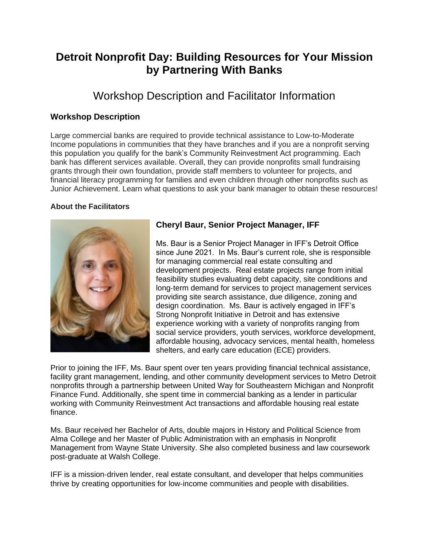# **Detroit Nonprofit Day: Building Resources for Your Mission by Partnering With Banks**

## Workshop Description and Facilitator Information

### **Workshop Description**

Large commercial banks are required to provide technical assistance to Low-to-Moderate Income populations in communities that they have branches and if you are a nonprofit serving this population you qualify for the bank's Community Reinvestment Act programming. Each bank has different services available. Overall, they can provide nonprofits small fundraising grants through their own foundation, provide staff members to volunteer for projects, and financial literacy programming for families and even children through other nonprofits such as Junior Achievement. Learn what questions to ask your bank manager to obtain these resources!

#### **About the Facilitators**



## **Cheryl Baur, Senior Project Manager, IFF**

Ms. Baur is a Senior Project Manager in IFF's Detroit Office since June 2021. In Ms. Baur's current role, she is responsible for managing commercial real estate consulting and development projects. Real estate projects range from initial feasibility studies evaluating debt capacity, site conditions and long‐term demand for services to project management services providing site search assistance, due diligence, zoning and design coordination. Ms. Baur is actively engaged in IFF's Strong Nonprofit Initiative in Detroit and has extensive experience working with a variety of nonprofits ranging from social service providers, youth services, workforce development, affordable housing, advocacy services, mental health, homeless shelters, and early care education (ECE) providers.

Prior to joining the IFF, Ms. Baur spent over ten years providing financial technical assistance, facility grant management, lending, and other community development services to Metro Detroit nonprofits through a partnership between United Way for Southeastern Michigan and Nonprofit Finance Fund. Additionally, she spent time in commercial banking as a lender in particular working with Community Reinvestment Act transactions and affordable housing real estate finance.

Ms. Baur received her Bachelor of Arts, double majors in History and Political Science from Alma College and her Master of Public Administration with an emphasis in Nonprofit Management from Wayne State University. She also completed business and law coursework post‐graduate at Walsh College.

IFF is a mission‐driven lender, real estate consultant, and developer that helps communities thrive by creating opportunities for low‐income communities and people with disabilities.